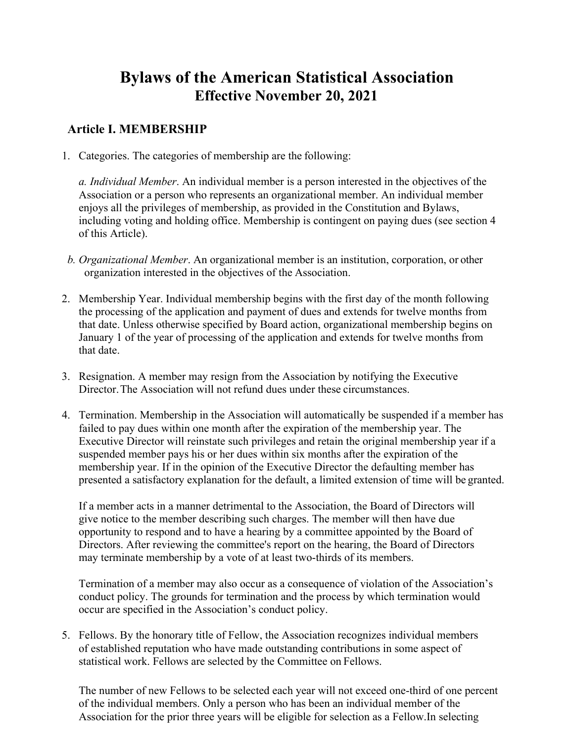# **Bylaws of the American Statistical Association Effective November 20, 2021**

#### **Article I. MEMBERSHIP**

1. Categories. The categories of membership are the following:

*a. Individual Member*. An individual member is a person interested in the objectives of the Association or a person who represents an organizational member. An individual member enjoys all the privileges of membership, as provided in the Constitution and Bylaws, including voting and holding office. Membership is contingent on paying dues (see section 4 of this Article).

- *b. Organizational Member*. An organizational member is an institution, corporation, or other organization interested in the objectives of the Association.
- 2. Membership Year. Individual membership begins with the first day of the month following the processing of the application and payment of dues and extends for twelve months from that date. Unless otherwise specified by Board action, organizational membership begins on January 1 of the year of processing of the application and extends for twelve months from that date.
- 3. Resignation. A member may resign from the Association by notifying the Executive Director. The Association will not refund dues under these circumstances.
- 4. Termination. Membership in the Association will automatically be suspended if a member has failed to pay dues within one month after the expiration of the membership year. The Executive Director will reinstate such privileges and retain the original membership year if a suspended member pays his or her dues within six months after the expiration of the membership year. If in the opinion of the Executive Director the defaulting member has presented a satisfactory explanation for the default, a limited extension of time will be granted.

If a member acts in a manner detrimental to the Association, the Board of Directors will give notice to the member describing such charges. The member will then have due opportunity to respond and to have a hearing by a committee appointed by the Board of Directors. After reviewing the committee's report on the hearing, the Board of Directors may terminate membership by a vote of at least two-thirds of its members.

Termination of a member may also occur as a consequence of violation of the Association's conduct policy. The grounds for termination and the process by which termination would occur are specified in the Association's conduct policy.

5. Fellows. By the honorary title of Fellow, the Association recognizes individual members of established reputation who have made outstanding contributions in some aspect of statistical work. Fellows are selected by the Committee on Fellows.

The number of new Fellows to be selected each year will not exceed one-third of one percent of the individual members. Only a person who has been an individual member of the Association for the prior three years will be eligible for selection as a Fellow.In selecting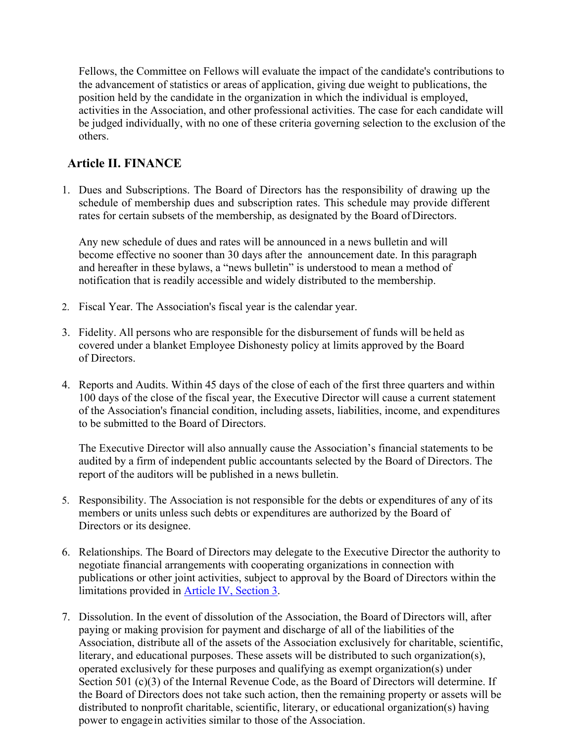Fellows, the Committee on Fellows will evaluate the impact of the candidate's contributions to the advancement of statistics or areas of application, giving due weight to publications, the position held by the candidate in the organization in which the individual is employed, activities in the Association, and other professional activities. The case for each candidate will be judged individually, with no one of these criteria governing selection to the exclusion of the others.

#### **Article II. FINANCE**

1. Dues and Subscriptions. The Board of Directors has the responsibility of drawing up the schedule of membership dues and subscription rates. This schedule may provide different rates for certain subsets of the membership, as designated by the Board of Directors.

Any new schedule of dues and rates will be announced in a news bulletin and will become effective no sooner than 30 days after the announcement date. In this paragraph and hereafter in these bylaws, a "news bulletin" is understood to mean a method of notification that is readily accessible and widely distributed to the membership.

- 2. Fiscal Year. The Association's fiscal year is the calendar year.
- 3. Fidelity. All persons who are responsible for the disbursement of funds will be held as covered under a blanket Employee Dishonesty policy at limits approved by the Board of Directors.
- 4. Reports and Audits. Within 45 days of the close of each of the first three quarters and within 100 days of the close of the fiscal year, the Executive Director will cause a current statement of the Association's financial condition, including assets, liabilities, income, and expenditures to be submitted to the Board of Directors.

The Executive Director will also annually cause the Association's financial statements to be audited by a firm of independent public accountants selected by the Board of Directors. The report of the auditors will be published in a news bulletin.

- 5. Responsibility. The Association is not responsible for the debts or expenditures of any of its members or units unless such debts or expenditures are authorized by the Board of Directors or its designee.
- 6. Relationships. The Board of Directors may delegate to the Executive Director the authority to negotiate financial arrangements with cooperating organizations in connection with publications or other joint activities, subject to approval by the Board of Directors within the limitations provided in Article IV, Section 3.
- 7. Dissolution. In the event of dissolution of the Association, the Board of Directors will, after paying or making provision for payment and discharge of all of the liabilities of the Association, distribute all of the assets of the Association exclusively for charitable, scientific, literary, and educational purposes. These assets will be distributed to such organization(s), operated exclusively for these purposes and qualifying as exempt organization(s) under Section 501 (c)(3) of the Internal Revenue Code, as the Board of Directors will determine. If the Board of Directors does not take such action, then the remaining property or assets will be distributed to nonprofit charitable, scientific, literary, or educational organization(s) having power to engage in activities similar to those of the Association.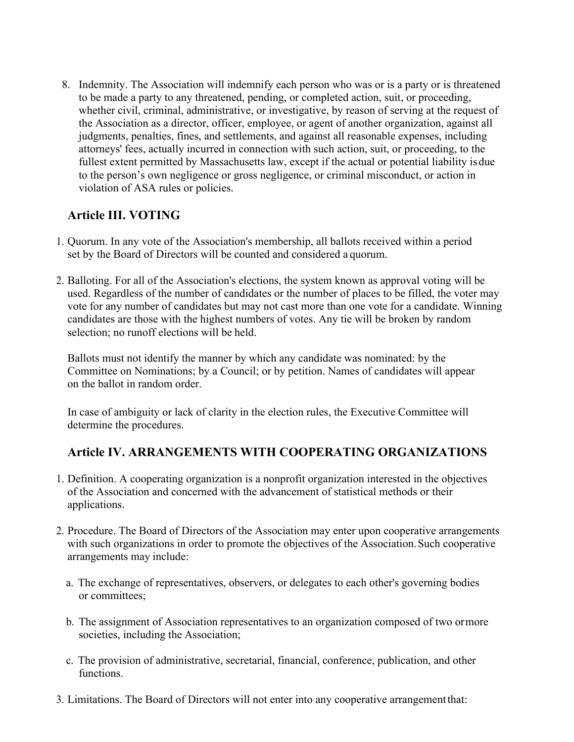8. Indemnity. The Association will indemnify each person who was or is a party or is threatened to be made a party to any threatened, pending, or completed action, suit, or proceeding, whether civil, criminal, administrative, or investigative, by reason of serving at the request of the Association as a director, officer, employee, or agent of another organization, against all judgments, penalties, fines, and settlements, and against all reasonable expenses, including attorneys' fees, actually incurred in connection with such action, suit, or proceeding, to the fullest extent permitted by Massachusetts law, except if the actual or potential liability is due to the person's own negligence or gross negligence, or criminal misconduct, or action in violation of ASA rules or policies.

# **Article III. VOTING**

- 1. Quorum. In any vote of the Association's membership, all ballots received within a period set by the Board of Directors will be counted and considered a quorum.
- 2. Balloting. For all of the Association's elections, the system known as approval voting will be used. Regardless of the number of candidates or the number of places to be filled, the voter may vote for any number of candidates but may not cast more than one vote for a candidate. Winning candidates are those with the highest numbers of votes. Any tie will be broken by random selection; no runoff elections will be held.

Ballots must not identify the manner by which any candidate was nominated: by the Committee on Nominations; by a Council; or by petition. Names of candidates will appear on the ballot in random order.

In case of ambiguity or lack of clarity in the election rules, the Executive Committee will determine the procedures.

# **Article IV. ARRANGEMENTS WITH COOPERATING ORGANIZATIONS**

- 1. Definition. A cooperating organization is a nonprofit organization interested in the objectives of the Association and concerned with the advancement of statistical methods or their applications.
- 2. Procedure. The Board of Directors of the Association may enter upon cooperative arrangements with such organizations in order to promote the objectives of the Association. Such cooperative arrangements may include:
	- a. The exchange of representatives, observers, or delegates to each other's governing bodies or committees;
	- b. The assignment of Association representatives to an organization composed of two or more societies, including the Association;
	- c. The provision of administrative, secretarial, financial, conference, publication, and other functions.
- 3. Limitations. The Board of Directors will not enter into any cooperative arrangement that: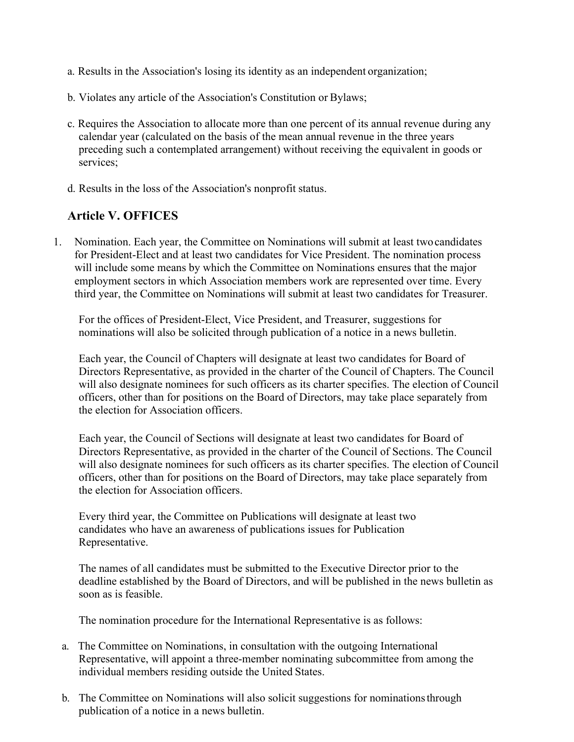- a. Results in the Association's losing its identity as an independent organization;
- b. Violates any article of the Association's Constitution or Bylaws;
- c. Requires the Association to allocate more than one percent of its annual revenue during any calendar year (calculated on the basis of the mean annual revenue in the three years preceding such a contemplated arrangement) without receiving the equivalent in goods or services;
- d. Results in the loss of the Association's nonprofit status.

# **Article V. OFFICES**

1. Nomination. Each year, the Committee on Nominations will submit at least two candidates for President-Elect and at least two candidates for Vice President. The nomination process will include some means by which the Committee on Nominations ensures that the major employment sectors in which Association members work are represented over time. Every third year, the Committee on Nominations will submit at least two candidates for Treasurer.

For the offices of President-Elect, Vice President, and Treasurer, suggestions for nominations will also be solicited through publication of a notice in a news bulletin.

Each year, the Council of Chapters will designate at least two candidates for Board of Directors Representative, as provided in the charter of the Council of Chapters. The Council will also designate nominees for such officers as its charter specifies. The election of Council officers, other than for positions on the Board of Directors, may take place separately from the election for Association officers.

Each year, the Council of Sections will designate at least two candidates for Board of Directors Representative, as provided in the charter of the Council of Sections. The Council will also designate nominees for such officers as its charter specifies. The election of Council officers, other than for positions on the Board of Directors, may take place separately from the election for Association officers.

Every third year, the Committee on Publications will designate at least two candidates who have an awareness of publications issues for Publication Representative.

The names of all candidates must be submitted to the Executive Director prior to the deadline established by the Board of Directors, and will be published in the news bulletin as soon as is feasible.

The nomination procedure for the International Representative is as follows:

- a. The Committee on Nominations, in consultation with the outgoing International Representative, will appoint a three-member nominating subcommittee from among the individual members residing outside the United States.
- b. The Committee on Nominations will also solicit suggestions for nominations through publication of a notice in a news bulletin.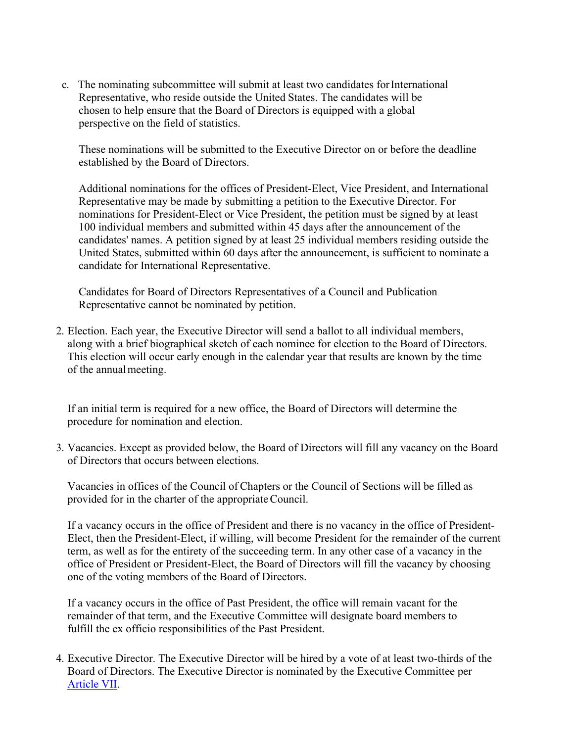c. The nominating subcommittee will submit at least two candidates for International Representative, who reside outside the United States. The candidates will be chosen to help ensure that the Board of Directors is equipped with a global perspective on the field of statistics.

These nominations will be submitted to the Executive Director on or before the deadline established by the Board of Directors.

Additional nominations for the offices of President-Elect, Vice President, and International Representative may be made by submitting a petition to the Executive Director. For nominations for President-Elect or Vice President, the petition must be signed by at least 100 individual members and submitted within 45 days after the announcement of the candidates' names. A petition signed by at least 25 individual members residing outside the United States, submitted within 60 days after the announcement, is sufficient to nominate a candidate for International Representative.

Candidates for Board of Directors Representatives of a Council and Publication Representative cannot be nominated by petition.

2. Election. Each year, the Executive Director will send a ballot to all individual members, along with a brief biographical sketch of each nominee for election to the Board of Directors. This election will occur early enough in the calendar year that results are known by the time of the annual meeting.

If an initial term is required for a new office, the Board of Directors will determine the procedure for nomination and election.

3. Vacancies. Except as provided below, the Board of Directors will fill any vacancy on the Board of Directors that occurs between elections.

Vacancies in offices of the Council of Chapters or the Council of Sections will be filled as provided for in the charter of the appropriate Council.

If a vacancy occurs in the office of President and there is no vacancy in the office of President-Elect, then the President-Elect, if willing, will become President for the remainder of the current term, as well as for the entirety of the succeeding term. In any other case of a vacancy in the office of President or President-Elect, the Board of Directors will fill the vacancy by choosing one of the voting members of the Board of Directors.

If a vacancy occurs in the office of Past President, the office will remain vacant for the remainder of that term, and the Executive Committee will designate board members to fulfill the ex officio responsibilities of the Past President.

4. Executive Director. The Executive Director will be hired by a vote of at least two-thirds of the Board of Directors. The Executive Director is nominated by the Executive Committee per Article VII.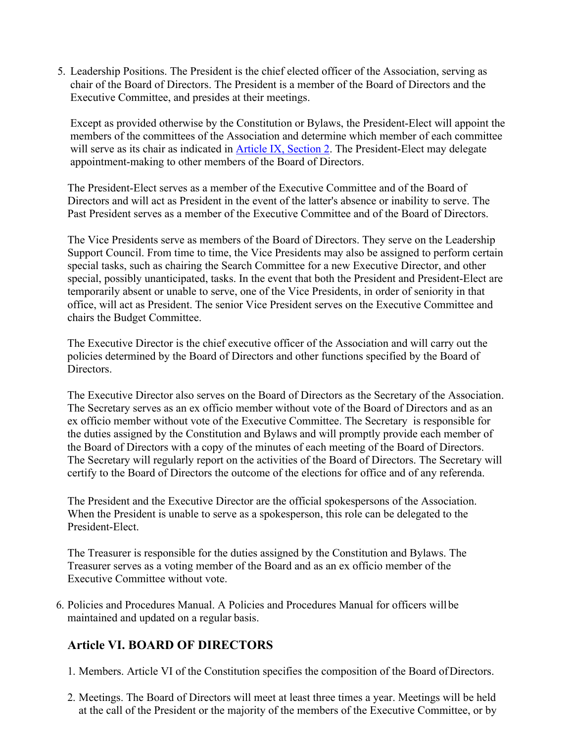5. Leadership Positions. The President is the chief elected officer of the Association, serving as chair of the Board of Directors. The President is a member of the Board of Directors and the Executive Committee, and presides at their meetings.

Except as provided otherwise by the Constitution or Bylaws, the President-Elect will appoint the members of the committees of the Association and determine which member of each committee will serve as its chair as indicated in Article IX, Section 2. The President-Elect may delegate appointment-making to other members of the Board of Directors.

The President-Elect serves as a member of the Executive Committee and of the Board of Directors and will act as President in the event of the latter's absence or inability to serve. The Past President serves as a member of the Executive Committee and of the Board of Directors.

The Vice Presidents serve as members of the Board of Directors. They serve on the Leadership Support Council. From time to time, the Vice Presidents may also be assigned to perform certain special tasks, such as chairing the Search Committee for a new Executive Director, and other special, possibly unanticipated, tasks. In the event that both the President and President-Elect are temporarily absent or unable to serve, one of the Vice Presidents, in order of seniority in that office, will act as President. The senior Vice President serves on the Executive Committee and chairs the Budget Committee.

The Executive Director is the chief executive officer of the Association and will carry out the policies determined by the Board of Directors and other functions specified by the Board of Directors.

The Executive Director also serves on the Board of Directors as the Secretary of the Association. The Secretary serves as an ex officio member without vote of the Board of Directors and as an ex officio member without vote of the Executive Committee. The Secretary is responsible for the duties assigned by the Constitution and Bylaws and will promptly provide each member of the Board of Directors with a copy of the minutes of each meeting of the Board of Directors. The Secretary will regularly report on the activities of the Board of Directors. The Secretary will certify to the Board of Directors the outcome of the elections for office and of any referenda.

The President and the Executive Director are the official spokespersons of the Association. When the President is unable to serve as a spokesperson, this role can be delegated to the President-Elect.

The Treasurer is responsible for the duties assigned by the Constitution and Bylaws. The Treasurer serves as a voting member of the Board and as an ex officio member of the Executive Committee without vote.

6. Policies and Procedures Manual. A Policies and Procedures Manual for officers will be maintained and updated on a regular basis.

## **Article VI. BOARD OF DIRECTORS**

- 1. Members. Article VI of the Constitution specifies the composition of the Board of Directors.
- 2. Meetings. The Board of Directors will meet at least three times a year. Meetings will be held at the call of the President or the majority of the members of the Executive Committee, or by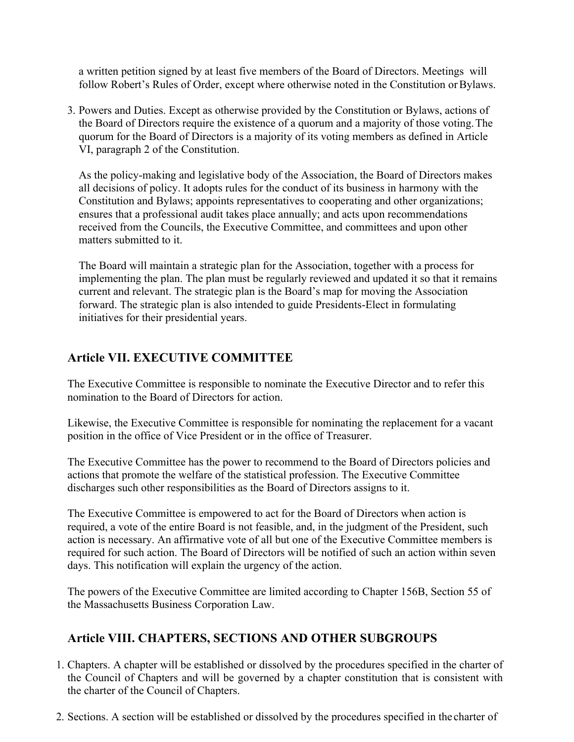a written petition signed by at least five members of the Board of Directors. Meetings will follow Robert's Rules of Order, except where otherwise noted in the Constitution or Bylaws.

3. Powers and Duties. Except as otherwise provided by the Constitution or Bylaws, actions of the Board of Directors require the existence of a quorum and a majority of those voting. The quorum for the Board of Directors is a majority of its voting members as defined in Article VI, paragraph 2 of the Constitution.

As the policy-making and legislative body of the Association, the Board of Directors makes all decisions of policy. It adopts rules for the conduct of its business in harmony with the Constitution and Bylaws; appoints representatives to cooperating and other organizations; ensures that a professional audit takes place annually; and acts upon recommendations received from the Councils, the Executive Committee, and committees and upon other matters submitted to it.

The Board will maintain a strategic plan for the Association, together with a process for implementing the plan. The plan must be regularly reviewed and updated it so that it remains current and relevant. The strategic plan is the Board's map for moving the Association forward. The strategic plan is also intended to guide Presidents-Elect in formulating initiatives for their presidential years.

## **Article VII. EXECUTIVE COMMITTEE**

The Executive Committee is responsible to nominate the Executive Director and to refer this nomination to the Board of Directors for action.

Likewise, the Executive Committee is responsible for nominating the replacement for a vacant position in the office of Vice President or in the office of Treasurer.

The Executive Committee has the power to recommend to the Board of Directors policies and actions that promote the welfare of the statistical profession. The Executive Committee discharges such other responsibilities as the Board of Directors assigns to it.

The Executive Committee is empowered to act for the Board of Directors when action is required, a vote of the entire Board is not feasible, and, in the judgment of the President, such action is necessary. An affirmative vote of all but one of the Executive Committee members is required for such action. The Board of Directors will be notified of such an action within seven days. This notification will explain the urgency of the action.

The powers of the Executive Committee are limited according to Chapter 156B, Section 55 of the Massachusetts Business Corporation Law.

## **Article VIII. CHAPTERS, SECTIONS AND OTHER SUBGROUPS**

- 1. Chapters. A chapter will be established or dissolved by the procedures specified in the charter of the Council of Chapters and will be governed by a chapter constitution that is consistent with the charter of the Council of Chapters.
- 2. Sections. A section will be established or dissolved by the procedures specified in the charter of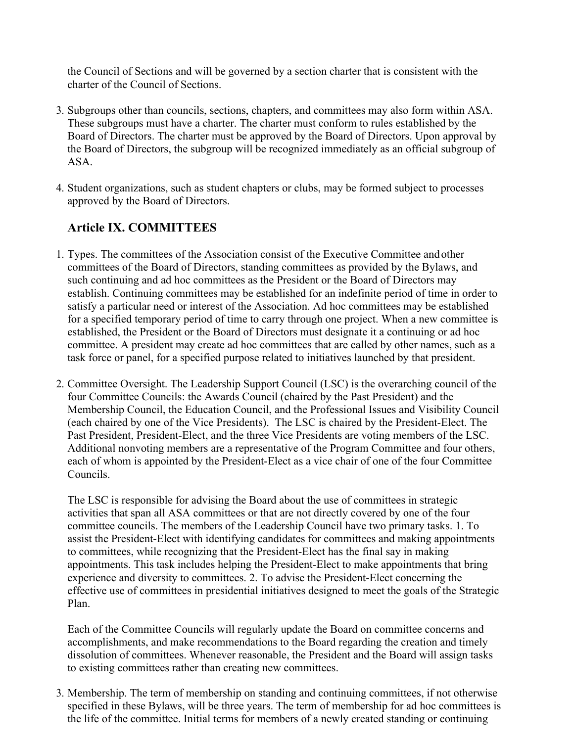the Council of Sections and will be governed by a section charter that is consistent with the charter of the Council of Sections.

- 3. Subgroups other than councils, sections, chapters, and committees may also form within ASA. These subgroups must have a charter. The charter must conform to rules established by the Board of Directors. The charter must be approved by the Board of Directors. Upon approval by the Board of Directors, the subgroup will be recognized immediately as an official subgroup of ASA.
- 4. Student organizations, such as student chapters or clubs, may be formed subject to processes approved by the Board of Directors.

## **Article IX. COMMITTEES**

- 1. Types. The committees of the Association consist of the Executive Committee and other committees of the Board of Directors, standing committees as provided by the Bylaws, and such continuing and ad hoc committees as the President or the Board of Directors may establish. Continuing committees may be established for an indefinite period of time in order to satisfy a particular need or interest of the Association. Ad hoc committees may be established for a specified temporary period of time to carry through one project. When a new committee is established, the President or the Board of Directors must designate it a continuing or ad hoc committee. A president may create ad hoc committees that are called by other names, such as a task force or panel, for a specified purpose related to initiatives launched by that president.
- 2. Committee Oversight. The Leadership Support Council (LSC) is the overarching council of the four Committee Councils: the Awards Council (chaired by the Past President) and the Membership Council, the Education Council, and the Professional Issues and Visibility Council (each chaired by one of the Vice Presidents). The LSC is chaired by the President-Elect. The Past President, President-Elect, and the three Vice Presidents are voting members of the LSC. Additional nonvoting members are a representative of the Program Committee and four others, each of whom is appointed by the President-Elect as a vice chair of one of the four Committee Councils.

The LSC is responsible for advising the Board about the use of committees in strategic activities that span all ASA committees or that are not directly covered by one of the four committee councils. The members of the Leadership Council have two primary tasks. 1. To assist the President-Elect with identifying candidates for committees and making appointments to committees, while recognizing that the President-Elect has the final say in making appointments. This task includes helping the President-Elect to make appointments that bring experience and diversity to committees. 2. To advise the President-Elect concerning the effective use of committees in presidential initiatives designed to meet the goals of the Strategic Plan.

Each of the Committee Councils will regularly update the Board on committee concerns and accomplishments, and make recommendations to the Board regarding the creation and timely dissolution of committees. Whenever reasonable, the President and the Board will assign tasks to existing committees rather than creating new committees.

3. Membership. The term of membership on standing and continuing committees, if not otherwise specified in these Bylaws, will be three years. The term of membership for ad hoc committees is the life of the committee. Initial terms for members of a newly created standing or continuing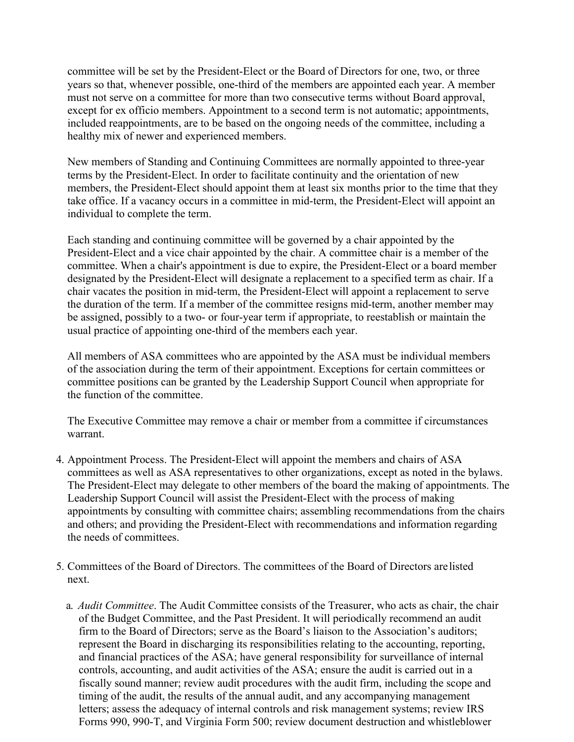committee will be set by the President-Elect or the Board of Directors for one, two, or three years so that, whenever possible, one-third of the members are appointed each year. A member must not serve on a committee for more than two consecutive terms without Board approval, except for ex officio members. Appointment to a second term is not automatic; appointments, included reappointments, are to be based on the ongoing needs of the committee, including a healthy mix of newer and experienced members.

New members of Standing and Continuing Committees are normally appointed to three-year terms by the President-Elect. In order to facilitate continuity and the orientation of new members, the President-Elect should appoint them at least six months prior to the time that they take office. If a vacancy occurs in a committee in mid-term, the President-Elect will appoint an individual to complete the term.

Each standing and continuing committee will be governed by a chair appointed by the President-Elect and a vice chair appointed by the chair. A committee chair is a member of the committee. When a chair's appointment is due to expire, the President-Elect or a board member designated by the President-Elect will designate a replacement to a specified term as chair. If a chair vacates the position in mid-term, the President-Elect will appoint a replacement to serve the duration of the term. If a member of the committee resigns mid-term, another member may be assigned, possibly to a two- or four-year term if appropriate, to reestablish or maintain the usual practice of appointing one-third of the members each year.

All members of ASA committees who are appointed by the ASA must be individual members of the association during the term of their appointment. Exceptions for certain committees or committee positions can be granted by the Leadership Support Council when appropriate for the function of the committee.

The Executive Committee may remove a chair or member from a committee if circumstances warrant.

- 4. Appointment Process. The President-Elect will appoint the members and chairs of ASA committees as well as ASA representatives to other organizations, except as noted in the bylaws. The President-Elect may delegate to other members of the board the making of appointments. The Leadership Support Council will assist the President-Elect with the process of making appointments by consulting with committee chairs; assembling recommendations from the chairs and others; and providing the President-Elect with recommendations and information regarding the needs of committees.
- 5. Committees of the Board of Directors. The committees of the Board of Directors are listed next.
	- a. *Audit Committee*. The Audit Committee consists of the Treasurer, who acts as chair, the chair of the Budget Committee, and the Past President. It will periodically recommend an audit firm to the Board of Directors; serve as the Board's liaison to the Association's auditors; represent the Board in discharging its responsibilities relating to the accounting, reporting, and financial practices of the ASA; have general responsibility for surveillance of internal controls, accounting, and audit activities of the ASA; ensure the audit is carried out in a fiscally sound manner; review audit procedures with the audit firm, including the scope and timing of the audit, the results of the annual audit, and any accompanying management letters; assess the adequacy of internal controls and risk management systems; review IRS Forms 990, 990-T, and Virginia Form 500; review document destruction and whistleblower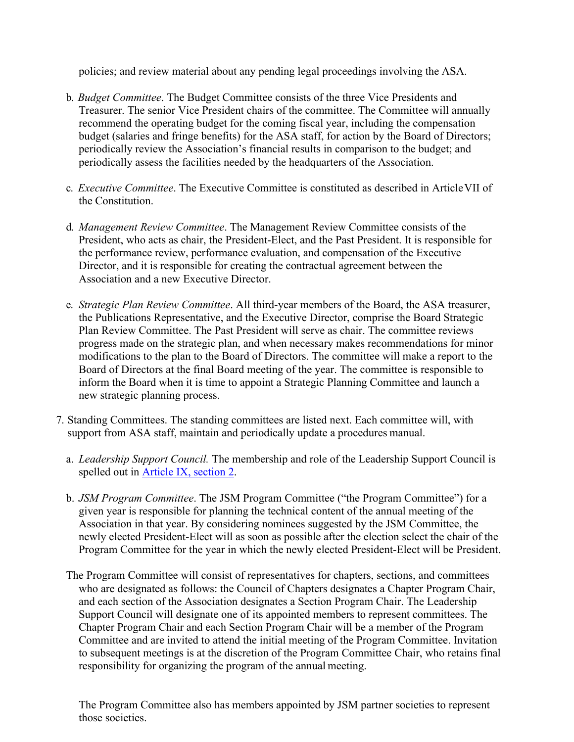policies; and review material about any pending legal proceedings involving the ASA.

- b. *Budget Committee*. The Budget Committee consists of the three Vice Presidents and Treasurer. The senior Vice President chairs of the committee. The Committee will annually recommend the operating budget for the coming fiscal year, including the compensation budget (salaries and fringe benefits) for the ASA staff, for action by the Board of Directors; periodically review the Association's financial results in comparison to the budget; and periodically assess the facilities needed by the headquarters of the Association.
- c. *Executive Committee*. The Executive Committee is constituted as described in Article VII of the Constitution.
- d. *Management Review Committee*. The Management Review Committee consists of the President, who acts as chair, the President-Elect, and the Past President. It is responsible for the performance review, performance evaluation, and compensation of the Executive Director, and it is responsible for creating the contractual agreement between the Association and a new Executive Director.
- e. *Strategic Plan Review Committee*. All third-year members of the Board, the ASA treasurer, the Publications Representative, and the Executive Director, comprise the Board Strategic Plan Review Committee. The Past President will serve as chair. The committee reviews progress made on the strategic plan, and when necessary makes recommendations for minor modifications to the plan to the Board of Directors. The committee will make a report to the Board of Directors at the final Board meeting of the year. The committee is responsible to inform the Board when it is time to appoint a Strategic Planning Committee and launch a new strategic planning process.
- 7. Standing Committees. The standing committees are listed next. Each committee will, with support from ASA staff, maintain and periodically update a procedures manual.
	- a. *Leadership Support Council.* The membership and role of the Leadership Support Council is spelled out in Article IX, section 2.
	- b. *JSM Program Committee*. The JSM Program Committee ("the Program Committee") for a given year is responsible for planning the technical content of the annual meeting of the Association in that year. By considering nominees suggested by the JSM Committee, the newly elected President-Elect will as soon as possible after the election select the chair of the Program Committee for the year in which the newly elected President-Elect will be President.
	- The Program Committee will consist of representatives for chapters, sections, and committees who are designated as follows: the Council of Chapters designates a Chapter Program Chair, and each section of the Association designates a Section Program Chair. The Leadership Support Council will designate one of its appointed members to represent committees. The Chapter Program Chair and each Section Program Chair will be a member of the Program Committee and are invited to attend the initial meeting of the Program Committee. Invitation to subsequent meetings is at the discretion of the Program Committee Chair, who retains final responsibility for organizing the program of the annual meeting.

The Program Committee also has members appointed by JSM partner societies to represent those societies.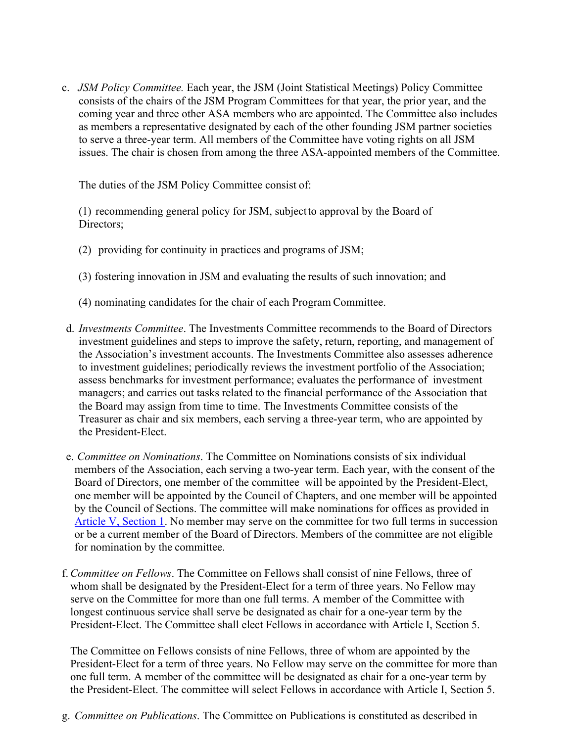c. *JSM Policy Committee.* Each year, the JSM (Joint Statistical Meetings) Policy Committee consists of the chairs of the JSM Program Committees for that year, the prior year, and the coming year and three other ASA members who are appointed. The Committee also includes as members a representative designated by each of the other founding JSM partner societies to serve a three-year term. All members of the Committee have voting rights on all JSM issues. The chair is chosen from among the three ASA-appointed members of the Committee.

The duties of the JSM Policy Committee consist of:

(1) recommending general policy for JSM, subject to approval by the Board of Directors;

- (2) providing for continuity in practices and programs of JSM;
- (3) fostering innovation in JSM and evaluating the results of such innovation; and
- (4) nominating candidates for the chair of each Program Committee.
- d. *Investments Committee*. The Investments Committee recommends to the Board of Directors investment guidelines and steps to improve the safety, return, reporting, and management of the Association's investment accounts. The Investments Committee also assesses adherence to investment guidelines; periodically reviews the investment portfolio of the Association; assess benchmarks for investment performance; evaluates the performance of investment managers; and carries out tasks related to the financial performance of the Association that the Board may assign from time to time. The Investments Committee consists of the Treasurer as chair and six members, each serving a three-year term, who are appointed by the President-Elect.
- e. *Committee on Nominations*. The Committee on Nominations consists of six individual members of the Association, each serving a two-year term. Each year, with the consent of the Board of Directors, one member of the committee will be appointed by the President-Elect, one member will be appointed by the Council of Chapters, and one member will be appointed by the Council of Sections. The committee will make nominations for offices as provided in Article V, Section 1. No member may serve on the committee for two full terms in succession or be a current member of the Board of Directors. Members of the committee are not eligible for nomination by the committee.
- f.*Committee on Fellows*. The Committee on Fellows shall consist of nine Fellows, three of whom shall be designated by the President-Elect for a term of three years. No Fellow may serve on the Committee for more than one full terms. A member of the Committee with longest continuous service shall serve be designated as chair for a one-year term by the President-Elect. The Committee shall elect Fellows in accordance with Article I, Section 5.

The Committee on Fellows consists of nine Fellows, three of whom are appointed by the President-Elect for a term of three years. No Fellow may serve on the committee for more than one full term. A member of the committee will be designated as chair for a one-year term by the President-Elect. The committee will select Fellows in accordance with Article I, Section 5.

g. *Committee on Publications*. The Committee on Publications is constituted as described in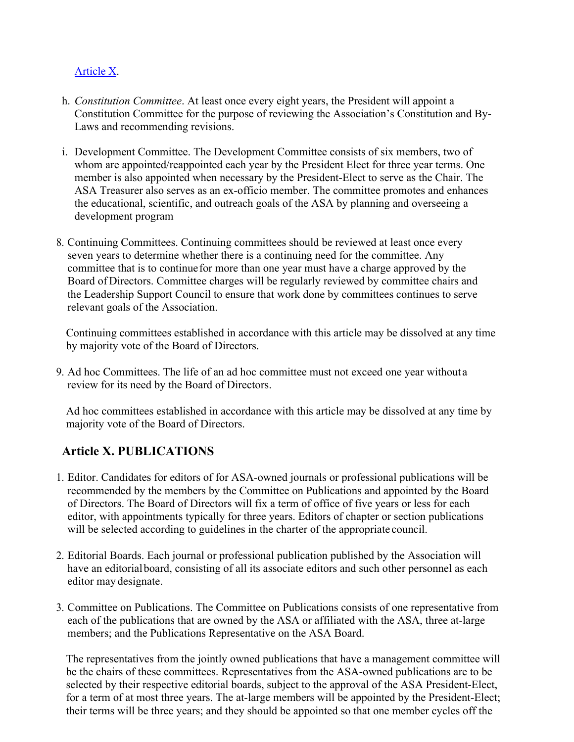#### Article X.

- h. *Constitution Committee*. At least once every eight years, the President will appoint a Constitution Committee for the purpose of reviewing the Association's Constitution and By-Laws and recommending revisions.
- i. Development Committee. The Development Committee consists of six members, two of whom are appointed/reappointed each year by the President Elect for three year terms. One member is also appointed when necessary by the President-Elect to serve as the Chair. The ASA Treasurer also serves as an ex-officio member. The committee promotes and enhances the educational, scientific, and outreach goals of the ASA by planning and overseeing a development program
- 8. Continuing Committees. Continuing committees should be reviewed at least once every seven years to determine whether there is a continuing need for the committee. Any committee that is to continue for more than one year must have a charge approved by the Board of Directors. Committee charges will be regularly reviewed by committee chairs and the Leadership Support Council to ensure that work done by committees continues to serve relevant goals of the Association.

Continuing committees established in accordance with this article may be dissolved at any time by majority vote of the Board of Directors.

9. Ad hoc Committees. The life of an ad hoc committee must not exceed one year without a review for its need by the Board of Directors.

Ad hoc committees established in accordance with this article may be dissolved at any time by majority vote of the Board of Directors.

## **Article X. PUBLICATIONS**

- 1. Editor. Candidates for editors of for ASA-owned journals or professional publications will be recommended by the members by the Committee on Publications and appointed by the Board of Directors. The Board of Directors will fix a term of office of five years or less for each editor, with appointments typically for three years. Editors of chapter or section publications will be selected according to guidelines in the charter of the appropriate council.
- 2. Editorial Boards. Each journal or professional publication published by the Association will have an editorial board, consisting of all its associate editors and such other personnel as each editor may designate.
- 3. Committee on Publications. The Committee on Publications consists of one representative from each of the publications that are owned by the ASA or affiliated with the ASA, three at-large members; and the Publications Representative on the ASA Board.

The representatives from the jointly owned publications that have a management committee will be the chairs of these committees. Representatives from the ASA-owned publications are to be selected by their respective editorial boards, subject to the approval of the ASA President-Elect, for a term of at most three years. The at-large members will be appointed by the President-Elect; their terms will be three years; and they should be appointed so that one member cycles off the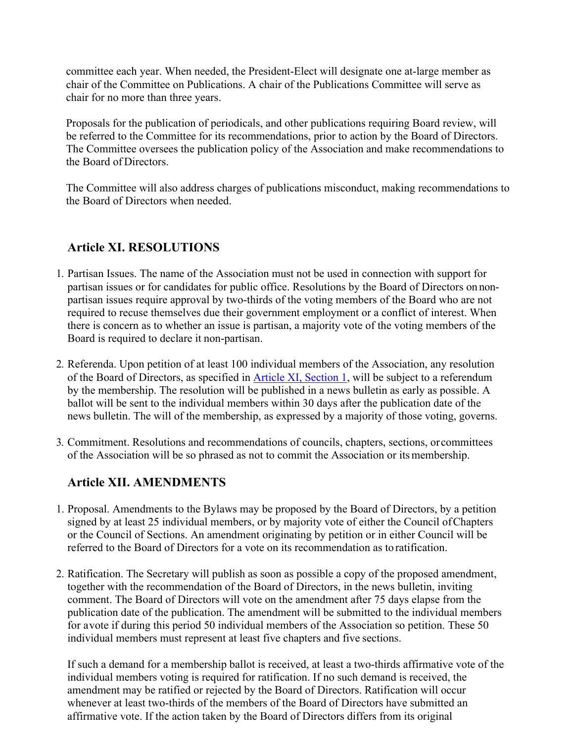committee each year. When needed, the President-Elect will designate one at-large member as chair of the Committee on Publications. A chair of the Publications Committee will serve as chair for no more than three years.

Proposals for the publication of periodicals, and other publications requiring Board review, will be referred to the Committee for its recommendations, prior to action by the Board of Directors. The Committee oversees the publication policy of the Association and make recommendations to the Board of Directors.

The Committee will also address charges of publications misconduct, making recommendations to the Board of Directors when needed.

## **Article XI. RESOLUTIONS**

- 1. Partisan Issues. The name of the Association must not be used in connection with support for partisan issues or for candidates for public office. Resolutions by the Board of Directors on nonpartisan issues require approval by two-thirds of the voting members of the Board who are not required to recuse themselves due their government employment or a conflict of interest. When there is concern as to whether an issue is partisan, a majority vote of the voting members of the Board is required to declare it non-partisan.
- 2. Referenda. Upon petition of at least 100 individual members of the Association, any resolution of the Board of Directors, as specified in Article XI, Section 1, will be subject to a referendum by the membership. The resolution will be published in a news bulletin as early as possible. A ballot will be sent to the individual members within 30 days after the publication date of the news bulletin. The will of the membership, as expressed by a majority of those voting, governs.
- 3. Commitment. Resolutions and recommendations of councils, chapters, sections, or committees of the Association will be so phrased as not to commit the Association or its membership.

#### **Article XII. AMENDMENTS**

- 1. Proposal. Amendments to the Bylaws may be proposed by the Board of Directors, by a petition signed by at least 25 individual members, or by majority vote of either the Council of Chapters or the Council of Sections. An amendment originating by petition or in either Council will be referred to the Board of Directors for a vote on its recommendation as to ratification.
- 2. Ratification. The Secretary will publish as soon as possible a copy of the proposed amendment, together with the recommendation of the Board of Directors, in the news bulletin, inviting comment. The Board of Directors will vote on the amendment after 75 days elapse from the publication date of the publication. The amendment will be submitted to the individual members for a vote if during this period 50 individual members of the Association so petition. These 50 individual members must represent at least five chapters and five sections.

If such a demand for a membership ballot is received, at least a two-thirds affirmative vote of the individual members voting is required for ratification. If no such demand is received, the amendment may be ratified or rejected by the Board of Directors. Ratification will occur whenever at least two-thirds of the members of the Board of Directors have submitted an affirmative vote. If the action taken by the Board of Directors differs from its original